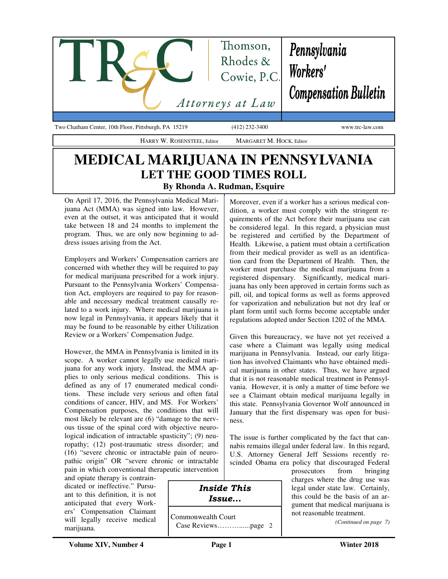

Two Chatham Center, 10th Floor, Pittsburgh, PA 15219 (412) 232-3400 www.trc-law.com

## **MEDICAL MARIJUANA IN PENNSYLVANIA LET THE GOOD TIMES ROLL By Rhonda A. Rudman, Esquire**

HARRY W. ROSENSTEEL, Editor MARGARET M. HOCK, Editor

On April 17, 2016, the Pennsylvania Medical Marijuana Act (MMA) was signed into law. However, even at the outset, it was anticipated that it would take between 18 and 24 months to implement the program. Thus, we are only now beginning to address issues arising from the Act.

Employers and Workers' Compensation carriers are concerned with whether they will be required to pay for medical marijuana prescribed for a work injury. Pursuant to the Pennsylvania Workers' Compensation Act, employers are required to pay for reasonable and necessary medical treatment causally related to a work injury. Where medical marijuana is now legal in Pennsylvania, it appears likely that it may be found to be reasonable by either Utilization Review or a Workers' Compensation Judge.

However, the MMA in Pennsylvania is limited in its scope. A worker cannot legally use medical marijuana for any work injury. Instead, the MMA applies to only serious medical conditions. This is defined as any of 17 enumerated medical conditions. These include very serious and often fatal conditions of cancer, HIV, and MS. For Workers' Compensation purposes, the conditions that will most likely be relevant are (6) "damage to the nervous tissue of the spinal cord with objective neurological indication of intractable spasticity"; (9) neuropathy; (12) post-traumatic stress disorder; and (16) "severe chronic or intractable pain of neuropathic origin" OR "severe chronic or intractable pain in which conventional therapeutic intervention

and opiate therapy is contraindicated or ineffective." Pursuant to this definition, it is not anticipated that every Workers' Compensation Claimant will legally receive medical marijuana.

Moreover, even if a worker has a serious medical condition, a worker must comply with the stringent requirements of the Act before their marijuana use can be considered legal. In this regard, a physician must be registered and certified by the Department of Health. Likewise, a patient must obtain a certification from their medical provider as well as an identification card from the Department of Health. Then, the worker must purchase the medical marijuana from a registered dispensary. Significantly, medical marijuana has only been approved in certain forms such as pill, oil, and topical forms as well as forms approved for vaporization and nebulization but not dry leaf or plant form until such forms become acceptable under regulations adopted under Section 1202 of the MMA.

Given this bureaucracy, we have not yet received a case where a Claimant was legally using medical marijuana in Pennsylvania. Instead, our early litigation has involved Claimants who have obtained medical marijuana in other states. Thus, we have argued that it is not reasonable medical treatment in Pennsylvania. However, it is only a matter of time before we see a Claimant obtain medical marijuana legally in this state. Pennsylvania Governor Wolf announced in January that the first dispensary was open for business.

The issue is further complicated by the fact that cannabis remains illegal under federal law. In this regard, U.S. Attorney General Jeff Sessions recently rescinded Obama era policy that discouraged Federal

prosecutors from bringing charges where the drug use was legal under state law. Certainly, this could be the basis of an argument that medical marijuana is not reasonable treatment.

*(Continued on page 7)* 

### Inside This Issue...

Commonwealth Court Case Reviews………......page 2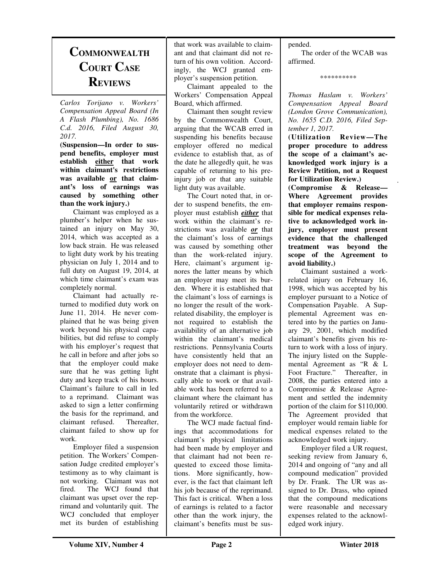# **COMMONWEALTH COURT CASE REVIEWS**

*Carlos Torijano v. Workers' Compensation Appeal Board (In A Flash Plumbing), No. 1686 C.d. 2016, Filed August 30, 2017.* 

**(Suspension—In order to suspend benefits, employer must establish either that work within claimant's restrictions was available or that claimant's loss of earnings was caused by something other than the work injury.)** 

Claimant was employed as a plumber's helper when he sustained an injury on May 30, 2014, which was accepted as a low back strain. He was released to light duty work by his treating physician on July 1, 2014 and to full duty on August 19, 2014, at which time claimant's exam was completely normal.

 Claimant had actually returned to modified duty work on June 11, 2014. He never complained that he was being given work beyond his physical capabilities, but did refuse to comply with his employer's request that he call in before and after jobs so that the employer could make sure that he was getting light duty and keep track of his hours. Claimant's failure to call in led to a reprimand. Claimant was asked to sign a letter confirming the basis for the reprimand, and claimant refused. Thereafter, claimant failed to show up for work.

 Employer filed a suspension petition. The Workers' Compensation Judge credited employer's testimony as to why claimant is not working. Claimant was not fired. The WCJ found that claimant was upset over the reprimand and voluntarily quit. The WCJ concluded that employer met its burden of establishing

that work was available to claimant and that claimant did not return of his own volition. Accordingly, the WCJ granted employer's suspension petition.

 Claimant appealed to the Workers' Compensation Appeal Board, which affirmed.

 Claimant then sought review by the Commonwealth Court, arguing that the WCAB erred in suspending his benefits because employer offered no medical evidence to establish that, as of the date he allegedly quit, he was capable of returning to his preinjury job or that any suitable light duty was available.

 The Court noted that, in order to suspend benefits, the employer must establish *either* that work within the claimant's restrictions was available *or* that the claimant's loss of earnings was caused by something other than the work-related injury. Here, claimant's argument ignores the latter means by which an employer may meet its burden. Where it is established that the claimant's loss of earnings is no longer the result of the workrelated disability, the employer is not required to establish the availability of an alternative job within the claimant's medical restrictions. Pennsylvania Courts have consistently held that an employer does not need to demonstrate that a claimant is physically able to work or that available work has been referred to a claimant where the claimant has voluntarily retired or withdrawn from the workforce.

 The WCJ made factual findings that accommodations for claimant's physical limitations had been made by employer and that claimant had not been requested to exceed those limitations. More significantly, however, is the fact that claimant left his job because of the reprimand. This fact is critical. When a loss of earnings is related to a factor other than the work injury, the claimant's benefits must be suspended.

 The order of the WCAB was affirmed.

*\*\*\*\*\*\*\*\*\*\** 

*Thomas Haslam v. Workers' Compensation Appeal Board (London Grove Communication), No. 1655 C.D. 2016, Filed September 1, 2017.* 

**(Utilization Review—The proper procedure to address the scope of a claimant's acknowledged work injury is a Review Petition, not a Request for Utilization Review.)** 

.

**(Compromise & Release— Where Agreement provides that employer remains responsible for medical expenses relative to acknowledged work injury, employer must present evidence that the challenged treatment was beyond the scope of the Agreement to avoid liability.)** 

Claimant sustained a workrelated injury on February 16, 1998, which was accepted by his employer pursuant to a Notice of Compensation Payable. A Supplemental Agreement was entered into by the parties on January 29, 2001, which modified claimant's benefits given his return to work with a loss of injury. The injury listed on the Supplemental Agreement as "R & L Foot Fracture." Thereafter, in 2008, the parties entered into a Compromise & Release Agreement and settled the indemnity portion of the claim for \$110,000. The Agreement provided that employer would remain liable for medical expenses related to the acknowledged work injury.

 Employer filed a UR request, seeking review from January 6, 2014 and ongoing of "any and all compound medication" provided by Dr. Frank. The UR was assigned to Dr. Drass, who opined that the compound medications were reasonable and necessary expenses related to the acknowledged work injury.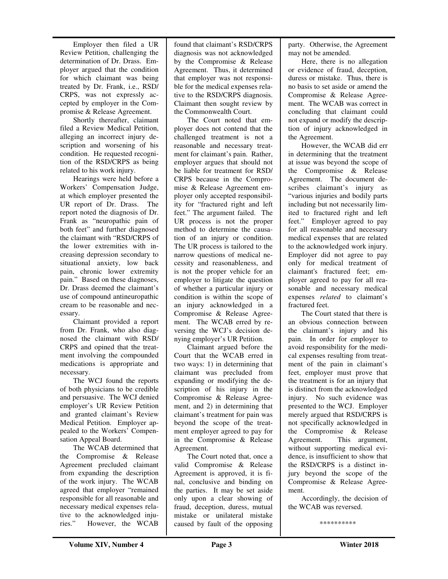Employer then filed a UR Review Petition, challenging the determination of Dr. Drass. Employer argued that the condition for which claimant was being treated by Dr. Frank, i.e., RSD/ CRPS, was not expressly accepted by employer in the Compromise & Release Agreement.

 Shortly thereafter, claimant filed a Review Medical Petition, alleging an incorrect injury description and worsening of his condition. He requested recognition of the RSD/CRPS as being related to his work injury.

 Hearings were held before a Workers' Compensation Judge, at which employer presented the UR report of Dr. Drass. The report noted the diagnosis of Dr. Frank as "neuropathic pain of both feet" and further diagnosed the claimant with "RSD/CRPS of the lower extremities with increasing depression secondary to situational anxiety, low back pain, chronic lower extremity pain." Based on these diagnoses, Dr. Drass deemed the claimant's use of compound antineuropathic cream to be reasonable and necessary.

 Claimant provided a report from Dr. Frank, who also diagnosed the claimant with RSD/ CRPS and opined that the treatment involving the compounded medications is appropriate and necessary.

 The WCJ found the reports of both physicians to be credible and persuasive. The WCJ denied employer's UR Review Petition and granted claimant's Review Medical Petition. Employer appealed to the Workers' Compensation Appeal Board.

 The WCAB determined that the Compromise & Release Agreement precluded claimant from expanding the description of the work injury. The WCAB agreed that employer "remained responsible for all reasonable and necessary medical expenses relative to the acknowledged injuries." However, the WCAB found that claimant's RSD/CRPS diagnosis was not acknowledged by the Compromise & Release Agreement. Thus, it determined that employer was not responsible for the medical expenses relative to the RSD/CRPS diagnosis. Claimant then sought review by the Commonwealth Court.

 The Court noted that employer does not contend that the challenged treatment is not a reasonable and necessary treatment for claimant's pain. Rather, employer argues that should not be liable for treatment for RSD/ CRPS because in the Compromise & Release Agreement employer only accepted responsibility for "fractured right and left feet." The argument failed. The UR process is not the proper method to determine the causation of an injury or condition. The UR process is tailored to the narrow questions of medical necessity and reasonableness, and is not the proper vehicle for an employer to litigate the question of whether a particular injury or condition is within the scope of an injury acknowledged in a Compromise & Release Agreement. The WCAB erred by reversing the WCJ's decision denying employer's UR Petition.

 Claimant argued before the Court that the WCAB erred in two ways: 1) in determining that claimant was precluded from expanding or modifying the description of his injury in the Compromise & Release Agreement, and 2) in determining that claimant's treatment for pain was beyond the scope of the treatment employer agreed to pay for in the Compromise & Release Agreement.

 The Court noted that, once a valid Compromise & Release Agreement is approved, it is final, conclusive and binding on the parties. It may be set aside only upon a clear showing of fraud, deception, duress, mutual mistake or unilateral mistake caused by fault of the opposing

party. Otherwise, the Agreement may not be amended.

 Here, there is no allegation or evidence of fraud, deception, duress or mistake. Thus, there is no basis to set aside or amend the Compromise & Release Agreement. The WCAB was correct in concluding that claimant could not expand or modify the description of injury acknowledged in the Agreement.

 However, the WCAB did err in determining that the treatment at issue was beyond the scope of the Compromise & Release Agreement. The document describes claimant's injury as "various injuries and bodily parts including but not necessarily limited to fractured right and left feet." Employer agreed to pay for all reasonable and necessary medical expenses that are related to the acknowledged work injury. Employer did not agree to pay only for medical treatment of claimant's fractured feet; employer agreed to pay for all reasonable and necessary medical expenses *related* to claimant's fractured feet.

 The Court stated that there is an obvious connection between the claimant's injury and his pain. In order for employer to avoid responsibility for the medical expenses resulting from treatment of the pain in claimant's feet, employer must prove that the treatment is for an injury that is distinct from the acknowledged injury. No such evidence was presented to the WCJ. Employer merely argued that RSD/CRPS is not specifically acknowledged in the Compromise & Release Agreement. This argument, without supporting medical evidence, is insufficient to show that the RSD/CRPS is a distinct injury beyond the scope of the Compromise & Release Agreement.

 Accordingly, the decision of the WCAB was reversed.

\*\*\*\*\*\*\*\*\*\*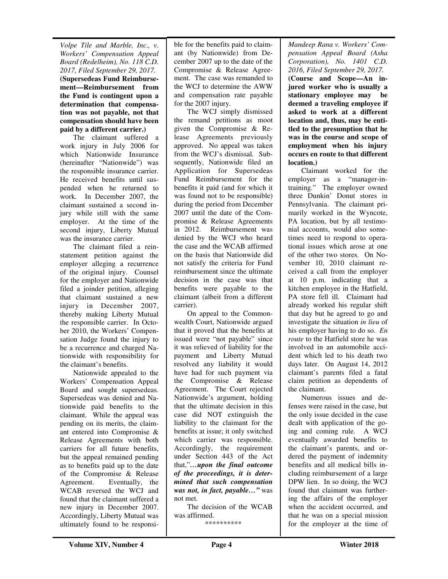*Volpe Tile and Marble, Inc., v. Workers' Compensation Appeal Board (Redelheim), No. 118 C.D. 2017, Filed September 29, 2017.*  **(Supersedeas Fund Reimbursement—Reimbursement from the Fund is contingent upon a determination that compensation was not payable, not that compensation should have been paid by a different carrier.)** 

The claimant suffered a work injury in July 2006 for which Nationwide Insurance (hereinafter "Nationwide") was the responsible insurance carrier. He received benefits until suspended when he returned to work. In December 2007, the claimant sustained a second injury while still with the same employer. At the time of the second injury, Liberty Mutual was the insurance carrier.

 The claimant filed a reinstatement petition against the employer alleging a recurrence of the original injury. Counsel for the employer and Nationwide filed a joinder petition, alleging that claimant sustained a new injury in December 2007, thereby making Liberty Mutual the responsible carrier. In October 2010, the Workers' Compensation Judge found the injury to be a recurrence and charged Nationwide with responsibility for the claimant's benefits.

 Nationwide appealed to the Workers' Compensation Appeal Board and sought supersedeas. Supersedeas was denied and Nationwide paid benefits to the claimant. While the appeal was pending on its merits, the claimant entered into Compromise & Release Agreements with both carriers for all future benefits, but the appeal remained pending as to benefits paid up to the date of the Compromise & Release Agreement. Eventually, the WCAB reversed the WCJ and found that the claimant suffered a new injury in December 2007. Accordingly, Liberty Mutual was ultimately found to be responsible for the benefits paid to claimant (by Nationwide) from December 2007 up to the date of the Compromise & Release Agreement. The case was remanded to the WCJ to determine the AWW and compensation rate payable for the 2007 injury.

 The WCJ simply dismissed the remand petitions as moot given the Compromise & Release Agreements previously approved. No appeal was taken from the WCJ's dismissal. Subsequently. Nationwide filed an Application for Supersedeas Fund Reimbursement for the benefits it paid (and for which it was found not to be responsible) during the period from December 2007 until the date of the Compromise & Release Agreements in 2012. Reimbursement was denied by the WCJ who heard the case and the WCAB affirmed on the basis that Nationwide did not satisfy the criteria for Fund reimbursement since the ultimate decision in the case was that benefits were payable to the claimant (albeit from a different carrier).

 On appeal to the Commonwealth Court, Nationwide argued that it proved that the benefits at issued were "not payable" since it was relieved of liability for the payment and Liberty Mutual resolved any liability it would have had for such payment via the Compromise & Release Agreement. The Court rejected Nationwide's argument, holding that the ultimate decision in this case did NOT extinguish the liability to the claimant for the benefits at issue; it only switched which carrier was responsible. Accordingly, the requirement under Section 443 of the Act that,"*…upon the final outcome of the proceedings, it is determined that such compensation was not, in fact, payable…"* was not met.

 The decision of the WCAB was affirmed.

\*\*\*\*\*\*\*\*\*\*

*Mandeep Rana v. Workers' Compensation Appeal Board (Asha Corporation), No. 1401 C.D. 2016, Filed September 29, 2017.*  **(Course and Scope—An injured worker who is usually a stationary employee may be deemed a traveling employee if asked to work at a different location and, thus, may be entitled to the presumption that he was in the course and scope of employment when his injury occurs en route to that different location.)** 

Claimant worked for the employer as a "manager-intraining." The employer owned three Dunkin' Donut stores in Pennsylvania. The claimant primarily worked in the Wyncote, PA location, but by all testimonial accounts, would also sometimes need to respond to operational issues which arose at one of the other two stores. On November 10, 2010 claimant received a call from the employer at 10 p.m. indicating that a kitchen employee in the Hatfield, PA store fell ill. Claimant had already worked his regular shift that day but he agreed to go and investigate the situation *in lieu* of his employer having to do so. *En route* to the Hatfield store he was involved in an automobile accident which led to his death two days later. On August 14, 2012 claimant's parents filed a fatal claim petition as dependents of the claimant.

Numerous issues and defenses were raised in the case, but the only issue decided in the case dealt with application of the going and coming rule. A WCJ eventually awarded benefits to the claimant's parents, and ordered the payment of indemnity benefits and all medical bills including reimbursement of a large DPW lien. In so doing, the WCJ found that claimant was furthering the affairs of the employer when the accident occurred, and that he was on a special mission for the employer at the time of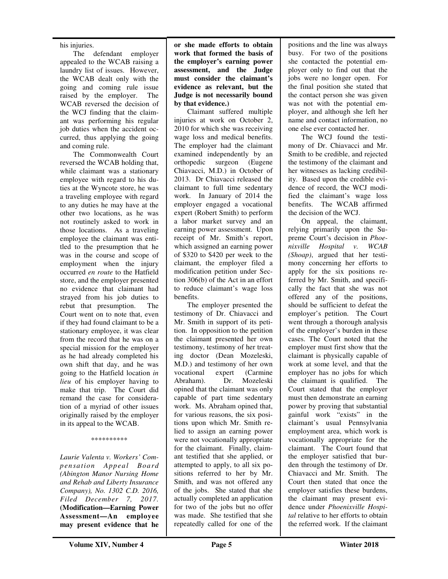his injuries.

The defendant employer appealed to the WCAB raising a laundry list of issues. However, the WCAB dealt only with the going and coming rule issue raised by the employer. The WCAB reversed the decision of the WCJ finding that the claimant was performing his regular job duties when the accident occurred, thus applying the going and coming rule.

The Commonwealth Court reversed the WCAB holding that, while claimant was a stationary employee with regard to his duties at the Wyncote store, he was a traveling employee with regard to any duties he may have at the other two locations, as he was not routinely asked to work in those locations. As a traveling employee the claimant was entitled to the presumption that he was in the course and scope of employment when the injury occurred *en route* to the Hatfield store, and the employer presented no evidence that claimant had strayed from his job duties to rebut that presumption. The Court went on to note that, even if they had found claimant to be a stationary employee, it was clear from the record that he was on a special mission for the employer as he had already completed his own shift that day, and he was going to the Hatfield location *in lieu* of his employer having to make that trip. The Court did remand the case for consideration of a myriad of other issues originally raised by the employer in its appeal to the WCAB.

#### \*\*\*\*\*\*\*\*\*\*

*Laurie Valenta v. Workers' Compensation Appeal Board (Abington Manor Nursing Home and Rehab and Liberty Insurance Company), No. 1302 C.D. 2016, Filed December 7, 2017.* **(Modification—Earning Power Assessment—An employee may present evidence that he**  **or she made efforts to obtain work that formed the basis of the employer's earning power assessment, and the Judge must consider the claimant's evidence as relevant, but the Judge is not necessarily bound by that evidence.)** 

Claimant suffered multiple injuries at work on October 2, 2010 for which she was receiving wage loss and medical benefits. The employer had the claimant examined independently by an orthopedic surgeon (Eugene Chiavacci, M.D.) in October of 2013. Dr Chiavacci released the claimant to full time sedentary work. In January of 2014 the employer engaged a vocational expert (Robert Smith) to perform a labor market survey and an earning power assessment. Upon receipt of Mr. Smith's report, which assigned an earning power of \$320 to \$420 per week to the claimant, the employer filed a modification petition under Section 306(b) of the Act in an effort to reduce claimant's wage loss benefits.

The employer presented the testimony of Dr. Chiavacci and Mr. Smith in support of its petition. In opposition to the petition the claimant presented her own testimony, testimony of her treating doctor (Dean Mozeleski, M.D.) and testimony of her own vocational expert (Carmine Abraham). Dr. Mozeleski opined that the claimant was only capable of part time sedentary work. Ms. Abraham opined that, for various reasons, the six positions upon which Mr. Smith relied to assign an earning power were not vocationally appropriate for the claimant. Finally, claimant testified that she applied, or attempted to apply, to all six positions referred to her by Mr. Smith, and was not offered any of the jobs. She stated that she actually completed an application for two of the jobs but no offer was made. She testified that she repeatedly called for one of the

positions and the line was always busy. For two of the positions she contacted the potential employer only to find out that the jobs were no longer open. For the final position she stated that the contact person she was given was not with the potential employer, and although she left her name and contact information, no one else ever contacted her.

The WCJ found the testimony of Dr. Chiavacci and Mr. Smith to be credible, and rejected the testimony of the claimant and her witnesses as lacking credibility. Based upon the credible evidence of record, the WCJ modified the claimant's wage loss benefits. The WCAB affirmed the decision of the WCJ.

On appeal, the claimant, relying primarily upon the Supreme Court's decision in *Phoenixville Hospital v. WCAB (Shoap)*, argued that her testimony concerning her efforts to apply for the six positions referred by Mr. Smith, and specifically the fact that she was not offered any of the positions, should be sufficient to defeat the employer's petition. The Court went through a thorough analysis of the employer's burden in these cases. The Court noted that the employer must first show that the claimant is physically capable of work at some level, and that the employer has no jobs for which the claimant is qualified. The Court stated that the employer must then demonstrate an earning power by proving that substantial gainful work "exists" in the claimant's usual Pennsylvania employment area, which work is vocationally appropriate for the claimant. The Court found that the employer satisfied that burden through the testimony of Dr. Chiavacci and Mr. Smith. The Court then stated that once the employer satisfies these burdens, the claimant may present evidence under *Phoenixville Hospital* relative to her efforts to obtain the referred work. If the claimant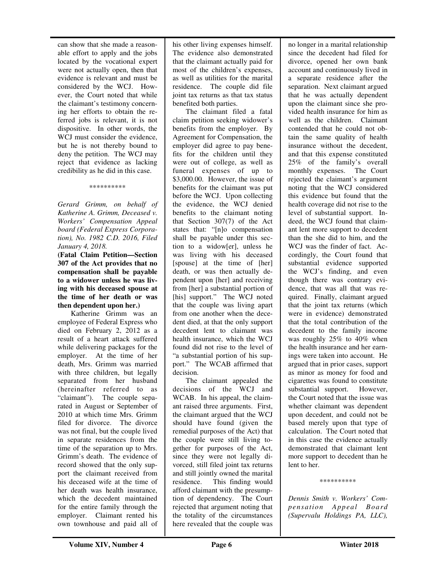can show that she made a reasonable effort to apply and the jobs located by the vocational expert were not actually open, then that evidence is relevant and must be considered by the WCJ. However, the Court noted that while the claimant's testimony concerning her efforts to obtain the referred jobs is relevant, it is not dispositive. In other words, the WCJ must consider the evidence, but he is not thereby bound to deny the petition. The WCJ may reject that evidence as lacking credibility as he did in this case.

#### \*\*\*\*\*\*\*\*\*\*

*Gerard Grimm, on behalf of Katherine A. Grimm, Deceased v. Workers' Compensation Appeal board (Federal Express Corporation), No. 1982 C.D. 2016, Filed January 4, 2018.* 

**(Fatal Claim Petition—Section 307 of the Act provides that no compensation shall be payable to a widower unless he was living with his deceased spouse at the time of her death or was then dependent upon her.)** 

Katherine Grimm was an employee of Federal Express who died on February 2, 2012 as a result of a heart attack suffered while delivering packages for the employer. At the time of her death, Mrs. Grimm was married with three children, but legally separated from her husband (hereinafter referred to as "claimant"). The couple separated in August or September of 2010 at which time Mrs. Grimm filed for divorce. The divorce was not final, but the couple lived in separate residences from the time of the separation up to Mrs. Grimm's death. The evidence of record showed that the only support the claimant received from his deceased wife at the time of her death was health insurance, which the decedent maintained for the entire family through the employer. Claimant rented his own townhouse and paid all of

his other living expenses himself. The evidence also demonstrated that the claimant actually paid for most of the children's expenses, as well as utilities for the marital residence. The couple did file joint tax returns as that tax status benefited both parties.

The claimant filed a fatal claim petition seeking widower's benefits from the employer. By Agreement for Compensation, the employer did agree to pay benefits for the children until they were out of college, as well as funeral expenses of up to \$3,000.00. However, the issue of benefits for the claimant was put before the WCJ. Upon collecting the evidence, the WCJ denied benefits to the claimant noting that Section 307(7) of the Act states that: "[n]o compensation shall be payable under this section to a widow[er], unless he was living with his deceased [spouse] at the time of [her] death, or was then actually dependent upon [her] and receiving from [her] a substantial portion of [his] support." The WCJ noted that the couple was living apart from one another when the decedent died, at that the only support decedent lent to claimant was health insurance, which the WCJ found did not rise to the level of "a substantial portion of his support." The WCAB affirmed that decision.

The claimant appealed the decisions of the WCJ and WCAB. In his appeal, the claimant raised three arguments. First, the claimant argued that the WCJ should have found (given the remedial purposes of the Act) that the couple were still living together for purposes of the Act, since they were not legally divorced, still filed joint tax returns and still jointly owned the marital residence. This finding would afford claimant with the presumption of dependency. The Court rejected that argument noting that the totality of the circumstances here revealed that the couple was

no longer in a marital relationship since the decedent had filed for divorce, opened her own bank account and continuously lived in a separate residence after the separation. Next claimant argued that he was actually dependent upon the claimant since she provided health insurance for him as well as the children. Claimant contended that he could not obtain the same quality of health insurance without the decedent, and that this expense constituted 25% of the family's overall monthly expenses. The Court rejected the claimant's argument noting that the WCJ considered this evidence but found that the health coverage did not rise to the level of substantial support. Indeed, the WCJ found that claimant lent more support to decedent than the she did to him, and the WCJ was the finder of fact. Accordingly, the Court found that substantial evidence supported the WCJ's finding, and even though there was contrary evidence, that was all that was required. Finally, claimant argued that the joint tax returns (which were in evidence) demonstrated that the total contribution of the decedent to the family income was roughly 25% to 40% when the health insurance and her earnings were taken into account. He argued that in prior cases, support as minor as money for food and cigarettes was found to constitute substantial support. However, the Court noted that the issue was whether claimant was dependent upon decedent, and could not be based merely upon that type of calculation. The Court noted that in this case the evidence actually demonstrated that claimant lent more support to decedent than he lent to her.

\*\*\*\*\*\*\*\*\*\*

*Dennis Smith v. Workers' Compensation Appeal Board (Supervalu Holdings PA, LLC),*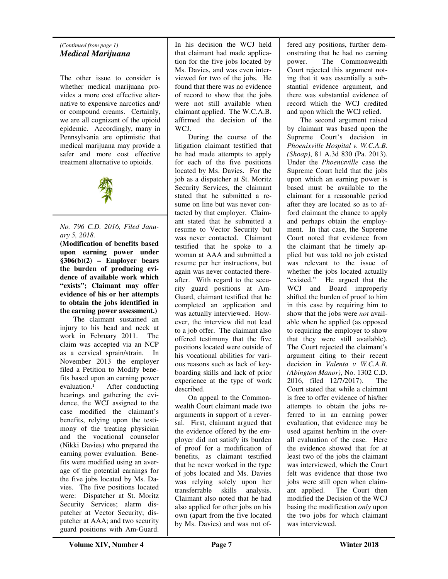#### *(Continued from page 1) Medical Marijuana*

The other issue to consider is whether medical marijuana provides a more cost effective alternative to expensive narcotics and/ or compound creams. Certainly, we are all cognizant of the opioid epidemic. Accordingly, many in Pennsylvania are optimistic that medical marijuana may provide a safer and more cost effective treatment alternative to opioids.



*No. 796 C.D. 2016, Filed January 5, 2018.* 

**(Modification of benefits based upon earning power under §306(b)(2) – Employer bears the burden of producing evidence of available work which "exists"; Claimant may offer evidence of his or her attempts to obtain the jobs identified in the earning power assessment.)** 

The claimant sustained an injury to his head and neck at work in February 2011. The claim was accepted via an NCP as a cervical sprain/strain. In November 2013 the employer filed a Petition to Modify benefits based upon an earning power  $evaluation.<sup>1</sup>$  After conducting hearings and gathering the evidence, the WCJ assigned to the case modified the claimant's benefits, relying upon the testimony of the treating physician and the vocational counselor (Nikki Davies) who prepared the earning power evaluation. Benefits were modified using an average of the potential earnings for the five jobs located by Ms. Davies. The five positions located were: Dispatcher at St. Moritz Security Services; alarm dispatcher at Vector Security; dispatcher at AAA; and two security guard positions with Am-Guard.

In his decision the WCJ held that claimant had made application for the five jobs located by Ms. Davies, and was even interviewed for two of the jobs. He found that there was no evidence of record to show that the jobs were not still available when claimant applied. The W.C.A.B. affirmed the decision of the WCJ.

During the course of the litigation claimant testified that he had made attempts to apply for each of the five positions located by Ms. Davies. For the job as a dispatcher at St. Moritz Security Services, the claimant stated that he submitted a resume on line but was never contacted by that employer. Claimant stated that he submitted a resume to Vector Security but was never contacted. Claimant testified that he spoke to a woman at AAA and submitted a resume per her instructions, but again was never contacted thereafter. With regard to the security guard positions at Am-Guard, claimant testified that he completed an application and was actually interviewed. However, the interview did not lead to a job offer. The claimant also offered testimony that the five positions located were outside of his vocational abilities for various reasons such as lack of keyboarding skills and lack of prior experience at the type of work described.

On appeal to the Commonwealth Court claimant made two arguments in support of a reversal. First, claimant argued that the evidence offered by the employer did not satisfy its burden of proof for a modification of benefits, as claimant testified that he never worked in the type of jobs located and Ms. Davies was relying solely upon her transferrable skills analysis. Claimant also noted that he had also applied for other jobs on his own (apart from the five located by Ms. Davies) and was not of-

fered any positions, further demonstrating that he had no earning power. The Commonwealth Court rejected this argument noting that it was essentially a substantial evidence argument, and there was substantial evidence of record which the WCJ credited and upon which the WCJ relied.

The second argument raised by claimant was based upon the Supreme Court's decision in *Phoenixville Hospital v. W.C.A.B. (Shoap)*, 81 A.3d 830 (Pa. 2013). Under the *Phoenixville* case the Supreme Court held that the jobs upon which an earning power is based must be available to the claimant for a reasonable period after they are located so as to afford claimant the chance to apply and perhaps obtain the employment. In that case, the Supreme Court noted that evidence from the claimant that he timely applied but was told no job existed was relevant to the issue of whether the jobs located actually "existed." He argued that the WCJ and Board improperly shifted the burden of proof to him in this case by requiring him to show that the jobs were *not* available when he applied (as opposed to requiring the employer to show that they were still available). The Court rejected the claimant's argument citing to their recent decision in *Valenta v W.C.A.B. (Abington Manor)*, No. 1302 C.D. 2016, filed 12/7/2017). The Court stated that while a claimant is free to offer evidence of his/her attempts to obtain the jobs referred to in an earning power evaluation, that evidence may be used against her/him in the overall evaluation of the case. Here the evidence showed that for at least two of the jobs the claimant was interviewed, which the Court felt was evidence that those two jobs were still open when claimant applied. The Court then modified the Decision of the WCJ basing the modification *only* upon the two jobs for which claimant was interviewed.